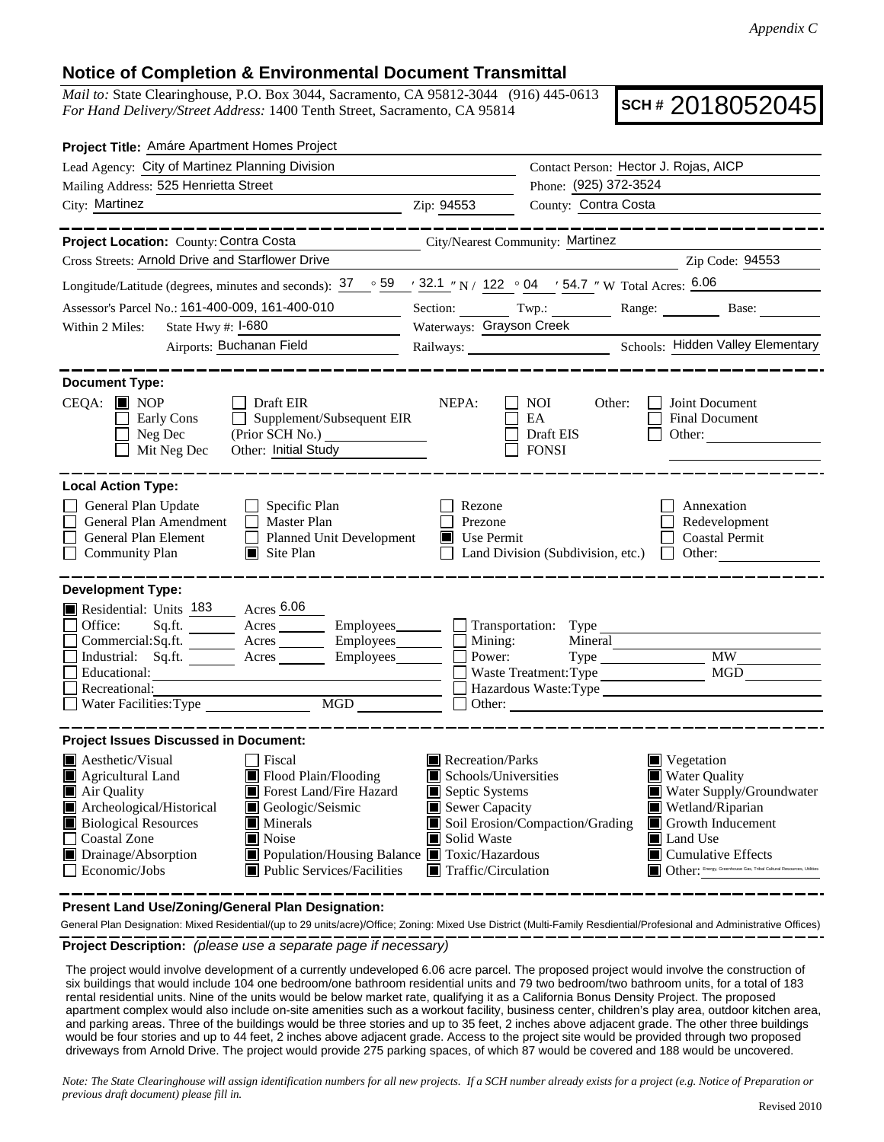## **Notice of Completion & Environmental Document Transmittal**

*Mail to:* State Clearinghouse, P.O. Box 3044, Sacramento, CA 95812-3044 (916) 445-0613 *For Hand Delivery/Street Address:* 1400 Tenth Street, Sacramento, CA 95814

**SCH #** 2018052045

| Project Title: Amáre Apartment Homes Project                                                                                                                                                                                                                                                                                                                                                                                              |                                                                                                                    |                                                  |                                                                                                                                                                                                                                                         |
|-------------------------------------------------------------------------------------------------------------------------------------------------------------------------------------------------------------------------------------------------------------------------------------------------------------------------------------------------------------------------------------------------------------------------------------------|--------------------------------------------------------------------------------------------------------------------|--------------------------------------------------|---------------------------------------------------------------------------------------------------------------------------------------------------------------------------------------------------------------------------------------------------------|
| Lead Agency: City of Martinez Planning Division                                                                                                                                                                                                                                                                                                                                                                                           | Contact Person: Hector J. Rojas, AICP                                                                              |                                                  |                                                                                                                                                                                                                                                         |
| Mailing Address: 525 Henrietta Street                                                                                                                                                                                                                                                                                                                                                                                                     | Phone: (925) 372-3524                                                                                              |                                                  |                                                                                                                                                                                                                                                         |
| City: Martinez<br>$\chi$ 2.1p: 94553                                                                                                                                                                                                                                                                                                                                                                                                      |                                                                                                                    | County: Contra Costa                             |                                                                                                                                                                                                                                                         |
|                                                                                                                                                                                                                                                                                                                                                                                                                                           |                                                                                                                    |                                                  |                                                                                                                                                                                                                                                         |
| Project Location: County: Contra Costa                                                                                                                                                                                                                                                                                                                                                                                                    |                                                                                                                    | City/Nearest Community: Martinez                 |                                                                                                                                                                                                                                                         |
| Cross Streets: Arnold Drive and Starflower Drive                                                                                                                                                                                                                                                                                                                                                                                          |                                                                                                                    |                                                  | Zip Code: 94553                                                                                                                                                                                                                                         |
| Longitude/Latitude (degrees, minutes and seconds): $37 \degree$ 59 $\degree$ 32.1 "N / 122 $\degree$ 04 $\degree$ 54.7 "W Total Acres: $6.06$                                                                                                                                                                                                                                                                                             |                                                                                                                    |                                                  |                                                                                                                                                                                                                                                         |
| Assessor's Parcel No.: 161-400-009, 161-400-010                                                                                                                                                                                                                                                                                                                                                                                           |                                                                                                                    |                                                  | Section: Twp.: Range: Base: Base:                                                                                                                                                                                                                       |
| State Hwy #: I-680<br>Within 2 Miles:                                                                                                                                                                                                                                                                                                                                                                                                     | Waterways: Grayson Creek                                                                                           |                                                  |                                                                                                                                                                                                                                                         |
| <b>Airports: Buchanan Field</b>                                                                                                                                                                                                                                                                                                                                                                                                           |                                                                                                                    |                                                  |                                                                                                                                                                                                                                                         |
|                                                                                                                                                                                                                                                                                                                                                                                                                                           |                                                                                                                    |                                                  |                                                                                                                                                                                                                                                         |
| <b>Document Type:</b><br>$CEOA:$ MOP<br>Draft EIR<br>Early Cons<br>$\Box$<br>Supplement/Subsequent EIR<br>Neg Dec<br>(Prior SCH No.)<br>Other: Initial Study<br>$\Box$ Mit Neg Dec                                                                                                                                                                                                                                                        | NEPA:                                                                                                              | NOI<br>Other:<br>EA<br>Draft EIS<br><b>FONSI</b> | Joint Document<br><b>Final Document</b><br>Other:                                                                                                                                                                                                       |
| <b>Local Action Type:</b>                                                                                                                                                                                                                                                                                                                                                                                                                 |                                                                                                                    |                                                  |                                                                                                                                                                                                                                                         |
| General Plan Update<br>$\Box$ Specific Plan<br>General Plan Amendment<br>$\Box$ Master Plan<br>General Plan Element<br>Planned Unit Development<br><b>Community Plan</b><br>$\blacksquare$ Site Plan                                                                                                                                                                                                                                      | Rezone<br>Prezone<br>$\blacksquare$ Use Permit                                                                     |                                                  | Annexation<br>Redevelopment<br><b>Coastal Permit</b><br>Land Division (Subdivision, etc.) $\Box$ Other:                                                                                                                                                 |
| <b>Development Type:</b><br>Residential: Units 183 Acres 6.06<br>Sq.ft. Acres Employees Transportation: Type<br>Office:<br>Industrial: Sq.ft. Acres<br>Employees_______<br>Educational:<br>Recreational:<br>MGD NGD                                                                                                                                                                                                                       | Power:                                                                                                             | Waste Treatment: Type                            | <b>MW</b><br>MGD<br>Hazardous Waste:Type                                                                                                                                                                                                                |
| <b>Project Issues Discussed in Document:</b>                                                                                                                                                                                                                                                                                                                                                                                              |                                                                                                                    |                                                  |                                                                                                                                                                                                                                                         |
| <b>A</b> esthetic/Visual<br>Fiscal<br>Flood Plain/Flooding<br>Agricultural Land<br>$\blacksquare$ Air Quality<br><b>I</b> Forest Land/Fire Hazard<br>Archeological/Historical<br>Geologic/Seismic<br><b>Biological Resources</b><br>$\blacksquare$ Minerals<br>$\Box$ Coastal Zone<br>$\blacksquare$ Noise<br>Drainage/Absorption<br>■ Population/Housing Balance ■ Toxic/Hazardous<br>$\Box$ Economic/Jobs<br>Public Services/Facilities | Recreation/Parks<br>Schools/Universities<br>Septic Systems<br>Sewer Capacity<br>Solid Waste<br>Traffic/Circulation | Soil Erosion/Compaction/Grading                  | $\blacksquare$ Vegetation<br><b>Water Quality</b><br>Water Supply/Groundwater<br>Wetland/Riparian<br>Growth Inducement<br><b>■</b> Land Use<br>$\blacksquare$ Cumulative Effects<br>Other: Energy, Greenhouse Gas, Tribal Cultural Resources, Utilities |

**Present Land Use/Zoning/General Plan Designation:**

**Project Description:** *(please use a separate page if necessary)* General Plan Designation: Mixed Residential/(up to 29 units/acre)/Office; Zoning: Mixed Use District (Multi-Family Resdiential/Profesional and Administrative Offices)

 The project would involve development of a currently undeveloped 6.06 acre parcel. The proposed project would involve the construction of six buildings that would include 104 one bedroom/one bathroom residential units and 79 two bedroom/two bathroom units, for a total of 183 rental residential units. Nine of the units would be below market rate, qualifying it as a California Bonus Density Project. The proposed apartment complex would also include on-site amenities such as a workout facility, business center, children's play area, outdoor kitchen area, and parking areas. Three of the buildings would be three stories and up to 35 feet, 2 inches above adjacent grade. The other three buildings would be four stories and up to 44 feet, 2 inches above adjacent grade. Access to the project site would be provided through two proposed driveways from Arnold Drive. The project would provide 275 parking spaces, of which 87 would be covered and 188 would be uncovered.

*Note: The State Clearinghouse will assign identification numbers for all new projects. If a SCH number already exists for a project (e.g. Notice of Preparation or previous draft document) please fill in.*